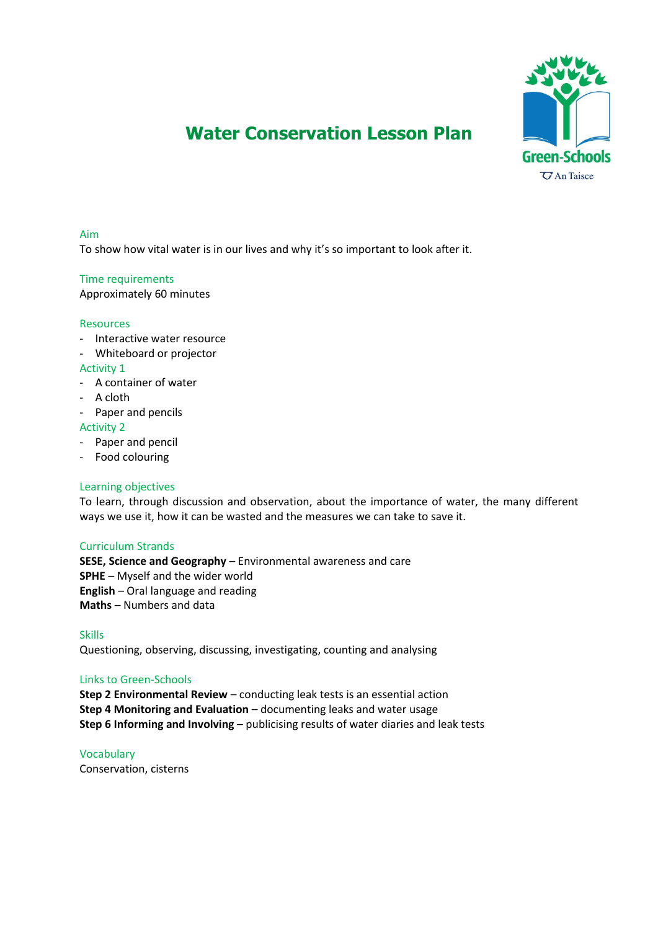

# **Water Conservation Lesson Plan**

## Aim

To show how vital water is in our lives and why it's so important to look after it.

## Time requirements

Approximately 60 minutes

## Resources

- Interactive water resource
- Whiteboard or projector

#### Activity 1

- A container of water
- A cloth
- Paper and pencils

#### Activity 2

- Paper and pencil
- Food colouring

## Learning objectives

To learn, through discussion and observation, about the importance of water, the many different ways we use it, how it can be wasted and the measures we can take to save it.

## Curriculum Strands

**SESE, Science and Geography** – Environmental awareness and care **SPHE** – Myself and the wider world **English** – Oral language and reading **Maths** – Numbers and data

Skills

Questioning, observing, discussing, investigating, counting and analysing

## Links to Green-Schools

**Step 2 Environmental Review** – conducting leak tests is an essential action **Step 4 Monitoring and Evaluation** – documenting leaks and water usage **Step 6 Informing and Involving** – publicising results of water diaries and leak tests

Vocabulary Conservation, cisterns